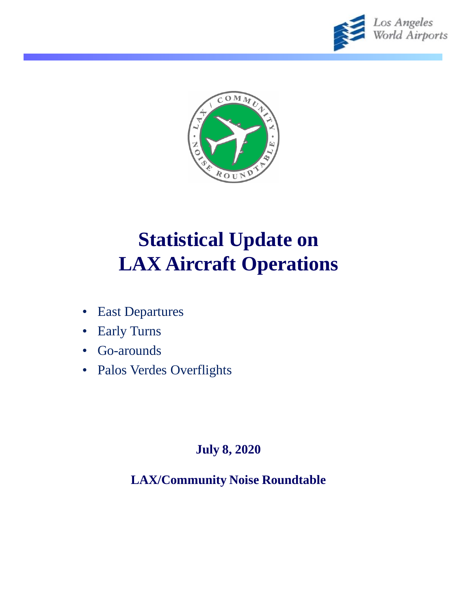



# **Statistical Update on LAX Aircraft Operations**

- East Departures
- Early Turns
- Go-arounds
- Palos Verdes Overflights

#### **July 8, 2020**

**LAX/Community Noise Roundtable**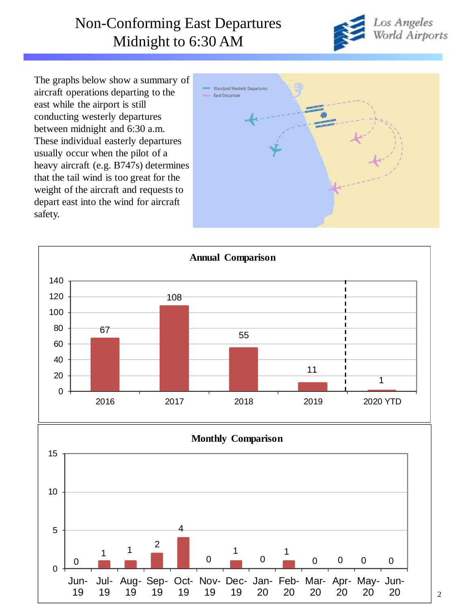### Non-Conforming East Departures Midnight to 6:30 AM



The graphs below show a summary of aircraft operations departing to the east while the airport is still conducting westerly departures between midnight and 6:30 a.m. These individual easterly departures usually occur when the pilot of a heavy aircraft (e.g. B747s) determines that the tail wind is too great for the weight of the aircraft and requests to depart east into the wind for aircraft safety.





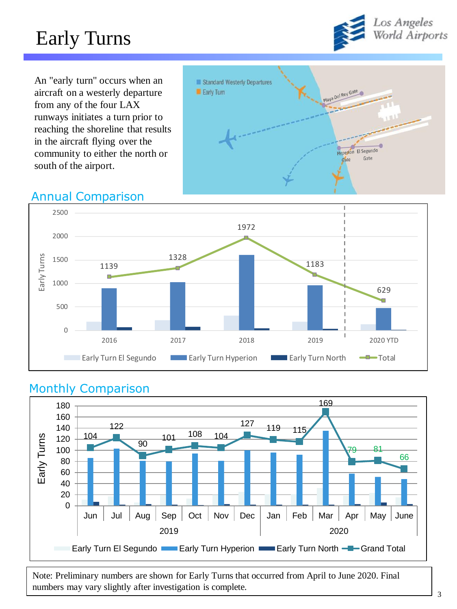## Early Turns



An "early turn" occurs when an aircraft on a westerly departure from any of the four LAX runways initiates a turn prior to reaching the shoreline that results in the aircraft flying over the community to either the north or south of the airport.



#### Annual Comparison



#### Monthly Comparison



Note: Preliminary numbers are shown for Early Turns that occurred from April to June 2020. Final numbers may vary slightly after investigation is complete.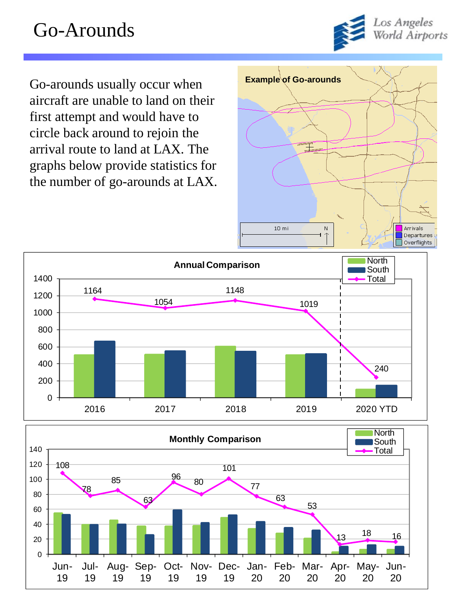### Go-Arounds



Go-arounds usually occur when **Example of Go-arounds** aircraft are unable to land on their first attempt and would have to circle back around to rejoin the arrival route to land at LAX. The graphs below provide statistics for the number of go-arounds at LAX.



![](_page_3_Figure_4.jpeg)

![](_page_3_Figure_5.jpeg)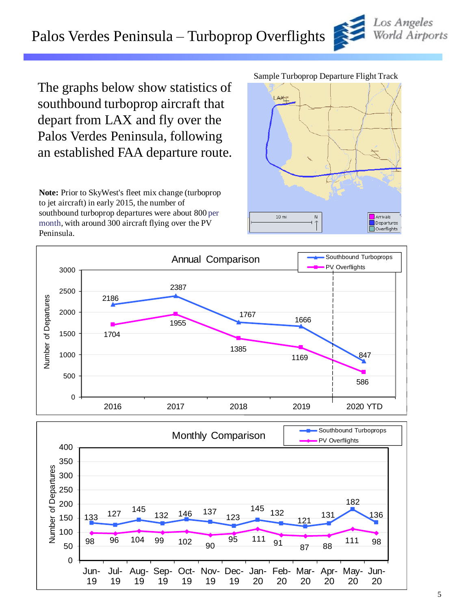### Palos Verdes Peninsula – Turboprop Overflights

The graphs below show statistics of southbound turboprop aircraft that depart from LAX and fly over the Palos Verdes Peninsula, following an established FAA departure route.

**Note:** Prior to SkyWest's fleet mix change (turboprop to jet aircraft) in early 2015, the number of southbound turboprop departures were about 800 per month, with around 300 aircraft flying over the PV Peninsula.

#### Sample Turboprop Departure Flight Track

![](_page_4_Figure_5.jpeg)

![](_page_4_Figure_6.jpeg)

![](_page_4_Figure_7.jpeg)

![](_page_4_Picture_8.jpeg)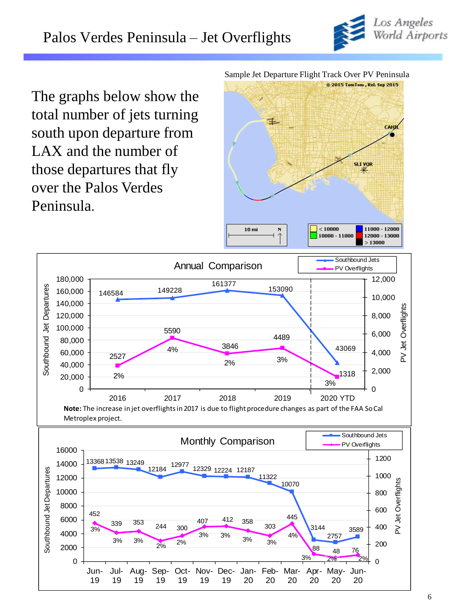![](_page_5_Picture_1.jpeg)

The graphs below show the total number of jets turning south upon departure from LAX and the number of those departures that fly over the Palos Verdes Peninsula.

Sample Jet Departure Flight Track Over PV Peninsula

![](_page_5_Figure_4.jpeg)

![](_page_5_Figure_5.jpeg)